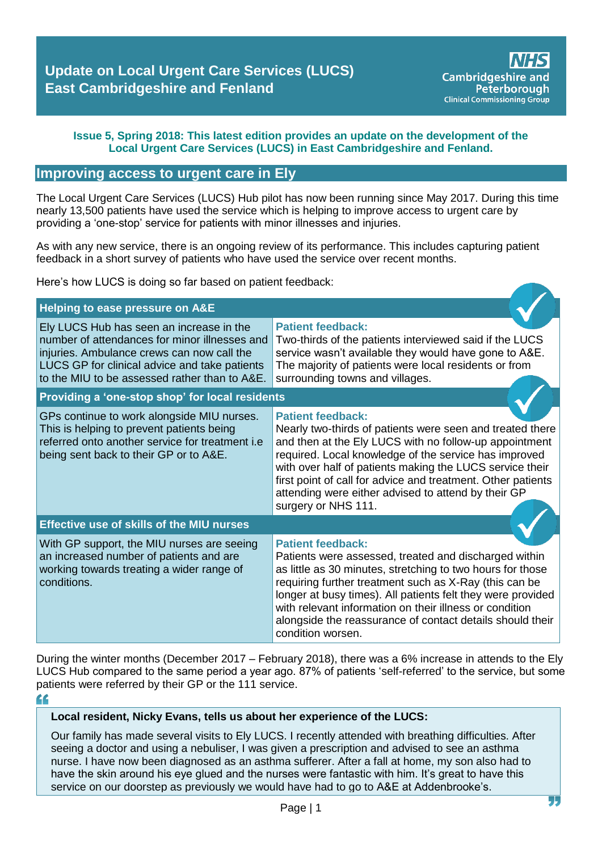### **Issue 5, Spring 2018: This latest edition provides an update on the development of the Local Urgent Care Services (LUCS) in East Cambridgeshire and Fenland.**

### **Improving access to urgent care in Ely**

The Local Urgent Care Services (LUCS) Hub pilot has now been running since May 2017. During this time nearly 13,500 patients have used the service which is helping to improve access to urgent care by providing a 'one-stop' service for patients with minor illnesses and injuries.

As with any new service, there is an ongoing review of its performance. This includes capturing patient feedback in a short survey of patients who have used the service over recent months.

Here's how LUCS is doing so far based on patient feedback:

| Helping to ease pressure on A&E                                                                                                                                                                                                           |                                                                                                                                                                                                                                                                                                                                                                                                                       |  |
|-------------------------------------------------------------------------------------------------------------------------------------------------------------------------------------------------------------------------------------------|-----------------------------------------------------------------------------------------------------------------------------------------------------------------------------------------------------------------------------------------------------------------------------------------------------------------------------------------------------------------------------------------------------------------------|--|
| Ely LUCS Hub has seen an increase in the<br>number of attendances for minor illnesses and<br>injuries. Ambulance crews can now call the<br>LUCS GP for clinical advice and take patients<br>to the MIU to be assessed rather than to A&E. | <b>Patient feedback:</b><br>Two-thirds of the patients interviewed said if the LUCS<br>service wasn't available they would have gone to A&E.<br>The majority of patients were local residents or from<br>surrounding towns and villages.                                                                                                                                                                              |  |
| Providing a 'one-stop shop' for local residents                                                                                                                                                                                           |                                                                                                                                                                                                                                                                                                                                                                                                                       |  |
| GPs continue to work alongside MIU nurses.<br>This is helping to prevent patients being<br>referred onto another service for treatment i.e<br>being sent back to their GP or to A&E.                                                      | <b>Patient feedback:</b><br>Nearly two-thirds of patients were seen and treated there<br>and then at the Ely LUCS with no follow-up appointment<br>required. Local knowledge of the service has improved<br>with over half of patients making the LUCS service their<br>first point of call for advice and treatment. Other patients<br>attending were either advised to attend by their GP<br>surgery or NHS 111.    |  |
| <b>Effective use of skills of the MIU nurses</b>                                                                                                                                                                                          |                                                                                                                                                                                                                                                                                                                                                                                                                       |  |
| With GP support, the MIU nurses are seeing<br>an increased number of patients and are<br>working towards treating a wider range of<br>conditions.                                                                                         | <b>Patient feedback:</b><br>Patients were assessed, treated and discharged within<br>as little as 30 minutes, stretching to two hours for those<br>requiring further treatment such as X-Ray (this can be<br>longer at busy times). All patients felt they were provided<br>with relevant information on their illness or condition<br>alongside the reassurance of contact details should their<br>condition worsen. |  |

During the winter months (December 2017 – February 2018), there was a 6% increase in attends to the Ely LUCS Hub compared to the same period a year ago. 87% of patients 'self-referred' to the service, but some patients were referred by their GP or the 111 service.

"

### **Local resident, Nicky Evans, tells us about her experience of the LUCS:**

Our family has made several visits to Ely LUCS. I recently attended with breathing difficulties. After seeing a doctor and using a nebuliser, I was given a prescription and advised to see an asthma nurse. I have now been diagnosed as an asthma sufferer. After a fall at home, my son also had to have the skin around his eye glued and the nurses were fantastic with him. It's great to have this service on our doorstep as previously we would have had to go to A&E at Addenbrooke's.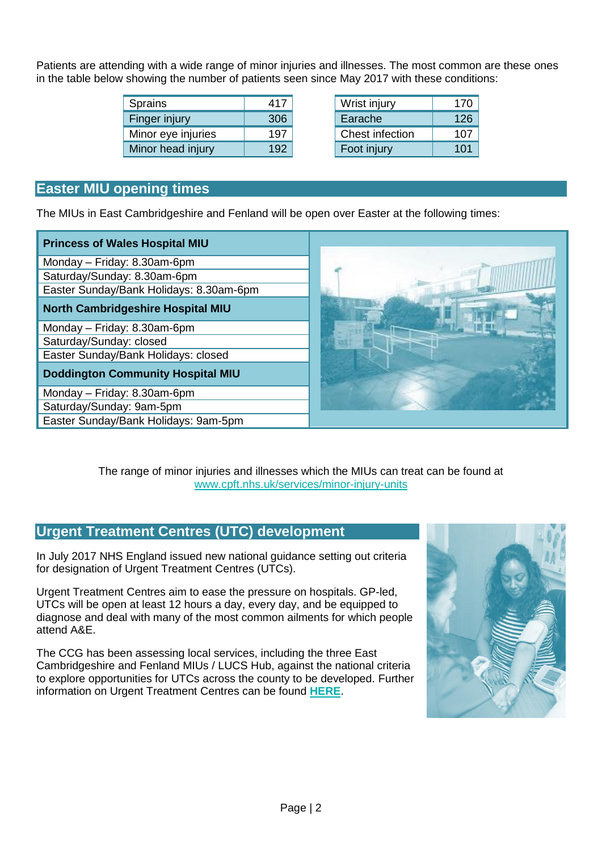Patients are attending with a wide range of minor injuries and illnesses. The most common are these ones in the table below showing the number of patients seen since May 2017 with these conditions:

| Sprains            | 417 | Wrist injury    | 170 |
|--------------------|-----|-----------------|-----|
| Finger injury      | 306 | Earache         | 126 |
| Minor eye injuries | 197 | Chest infection | 107 |
| Minor head injury  | 192 | Foot injury     | 101 |

| Wrist injury    | 170 |
|-----------------|-----|
| Earache         | 126 |
| Chest infection | 107 |
| Foot injury     | 101 |

# **Easter MIU opening times**

The MIUs in East Cambridgeshire and Fenland will be open over Easter at the following times:

| <b>Princess of Wales Hospital MIU</b>    |  |
|------------------------------------------|--|
| Monday - Friday: 8.30am-6pm              |  |
| Saturday/Sunday: 8.30am-6pm              |  |
| Easter Sunday/Bank Holidays: 8.30am-6pm  |  |
| <b>North Cambridgeshire Hospital MIU</b> |  |
| Monday - Friday: 8.30am-6pm              |  |
| Saturday/Sunday: closed                  |  |
| Easter Sunday/Bank Holidays: closed      |  |
| <b>Doddington Community Hospital MIU</b> |  |
| Monday - Friday: 8.30am-6pm              |  |
| Saturday/Sunday: 9am-5pm                 |  |
| Easter Sunday/Bank Holidays: 9am-5pm     |  |

The range of minor injuries and illnesses which the MIUs can treat can be found at [www.cpft.nhs.uk/services/minor-injury-units](http://www.cpft.nhs.uk/services/minor-injury-units)

## **Urgent Treatment Centres (UTC) development**

In July 2017 NHS England issued new national guidance setting out criteria for designation of Urgent Treatment Centres (UTCs).

Urgent Treatment Centres aim to ease the pressure on hospitals. GP-led, UTCs will be open at least 12 hours a day, every day, and be equipped to diagnose and deal with many of the most common ailments for which people attend A&E.

The CCG has been assessing local services, including the three East Cambridgeshire and Fenland MIUs / LUCS Hub, against the national criteria to explore opportunities for UTCs across the county to be developed. Further information on Urgent Treatment Centres can be found **[HERE](https://www.england.nhs.uk/urgent-emergency-care/urgent-treatment-centres/)**.